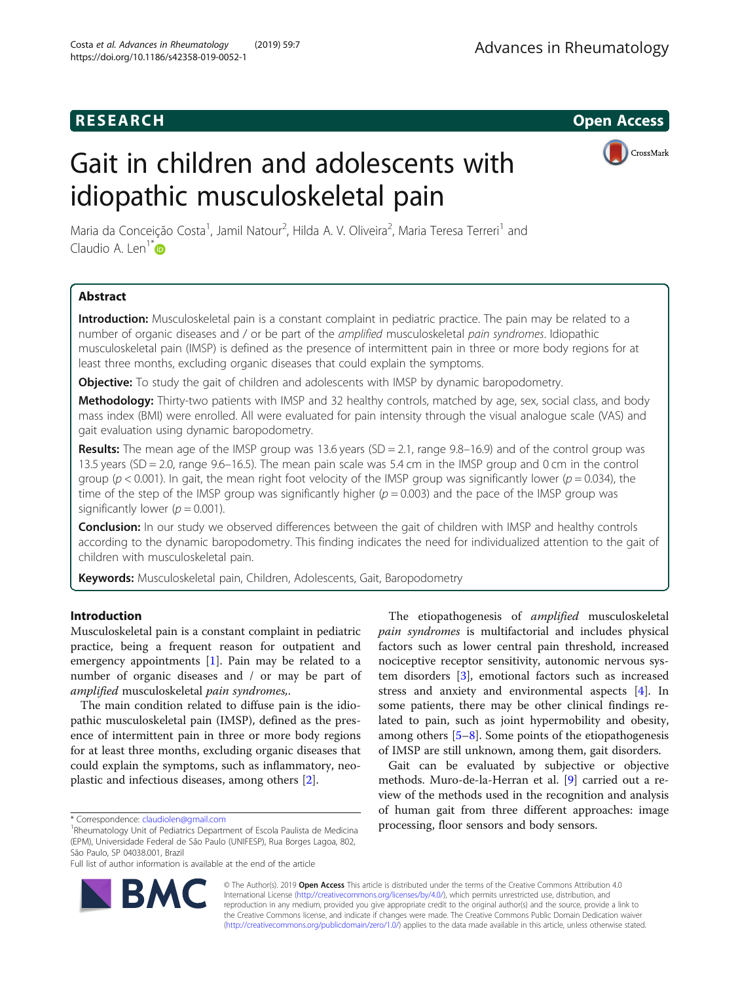# **RESEARCH CHILD CONTROL** CONTROL CONTROL CONTROL CONTROL CONTROL CONTROL CONTROL CONTROL CONTROL CONTROL CONTROL CONTROL CONTROL CONTROL CONTROL CONTROL CONTROL CONTROL CONTROL CONTROL CONTROL CONTROL CONTROL CONTROL CONTR

# Gait in children and adolescents with idiopathic musculoskeletal pain



Maria da Conceição Costa<sup>1</sup>, Jamil Natour<sup>2</sup>, Hilda A. V. Oliveira<sup>2</sup>, Maria Teresa Terreri<sup>1</sup> and Claudio A. Len<sup>1[\\*](http://orcid.org/0000-0001-8636-1744)</sup> $\bullet$ 

# Abstract

Introduction: Musculoskeletal pain is a constant complaint in pediatric practice. The pain may be related to a number of organic diseases and / or be part of the amplified musculoskeletal pain syndromes. Idiopathic musculoskeletal pain (IMSP) is defined as the presence of intermittent pain in three or more body regions for at least three months, excluding organic diseases that could explain the symptoms.

**Objective:** To study the gait of children and adolescents with IMSP by dynamic baropodometry.

Methodology: Thirty-two patients with IMSP and 32 healthy controls, matched by age, sex, social class, and body mass index (BMI) were enrolled. All were evaluated for pain intensity through the visual analogue scale (VAS) and gait evaluation using dynamic baropodometry.

Results: The mean age of the IMSP group was 13.6 years (SD = 2.1, range 9.8-16.9) and of the control group was 13.5 years (SD = 2.0, range 9.6–16.5). The mean pain scale was 5.4 cm in the IMSP group and 0 cm in the control group ( $p < 0.001$ ). In gait, the mean right foot velocity of the IMSP group was significantly lower ( $p = 0.034$ ), the time of the step of the IMSP group was significantly higher ( $p = 0.003$ ) and the pace of the IMSP group was significantly lower ( $p = 0.001$ ).

Conclusion: In our study we observed differences between the gait of children with IMSP and healthy controls according to the dynamic baropodometry. This finding indicates the need for individualized attention to the gait of children with musculoskeletal pain.

**Keywords:** Musculoskeletal pain, Children, Adolescents, Gait, Baropodometry

# Introduction

Musculoskeletal pain is a constant complaint in pediatric practice, being a frequent reason for outpatient and emergency appointments [[1\]](#page-5-0). Pain may be related to a number of organic diseases and / or may be part of amplified musculoskeletal pain syndromes,.

The main condition related to diffuse pain is the idiopathic musculoskeletal pain (IMSP), defined as the presence of intermittent pain in three or more body regions for at least three months, excluding organic diseases that could explain the symptoms, such as inflammatory, neoplastic and infectious diseases, among others [\[2](#page-5-0)].

<sup>1</sup>Rheumatology Unit of Pediatrics Department of Escola Paulista de Medicina (EPM), Universidade Federal de São Paulo (UNIFESP), Rua Borges Lagoa, 802, São Paulo, SP 04038.001, Brazil

Full list of author information is available at the end of the article

The etiopathogenesis of amplified musculoskeletal pain syndromes is multifactorial and includes physical factors such as lower central pain threshold, increased nociceptive receptor sensitivity, autonomic nervous system disorders [[3\]](#page-5-0), emotional factors such as increased stress and anxiety and environmental aspects [[4\]](#page-5-0). In some patients, there may be other clinical findings related to pain, such as joint hypermobility and obesity, among others [[5](#page-5-0)–[8\]](#page-5-0). Some points of the etiopathogenesis of IMSP are still unknown, among them, gait disorders.

Gait can be evaluated by subjective or objective methods. Muro-de-la-Herran et al. [\[9\]](#page-5-0) carried out a review of the methods used in the recognition and analysis of human gait from three different approaches: image \* Correspondence: [claudiolen@gmail.com](mailto:claudiolen@gmail.com)<br><sup>1</sup>Rheumatology Unit of Pediatrics Department of Escola Paulista de Medicina **Processing, floor sensors and body sensors.** 



© The Author(s). 2019 **Open Access** This article is distributed under the terms of the Creative Commons Attribution 4.0 International License [\(http://creativecommons.org/licenses/by/4.0/](http://creativecommons.org/licenses/by/4.0/)), which permits unrestricted use, distribution, and reproduction in any medium, provided you give appropriate credit to the original author(s) and the source, provide a link to the Creative Commons license, and indicate if changes were made. The Creative Commons Public Domain Dedication waiver [\(http://creativecommons.org/publicdomain/zero/1.0/](http://creativecommons.org/publicdomain/zero/1.0/)) applies to the data made available in this article, unless otherwise stated.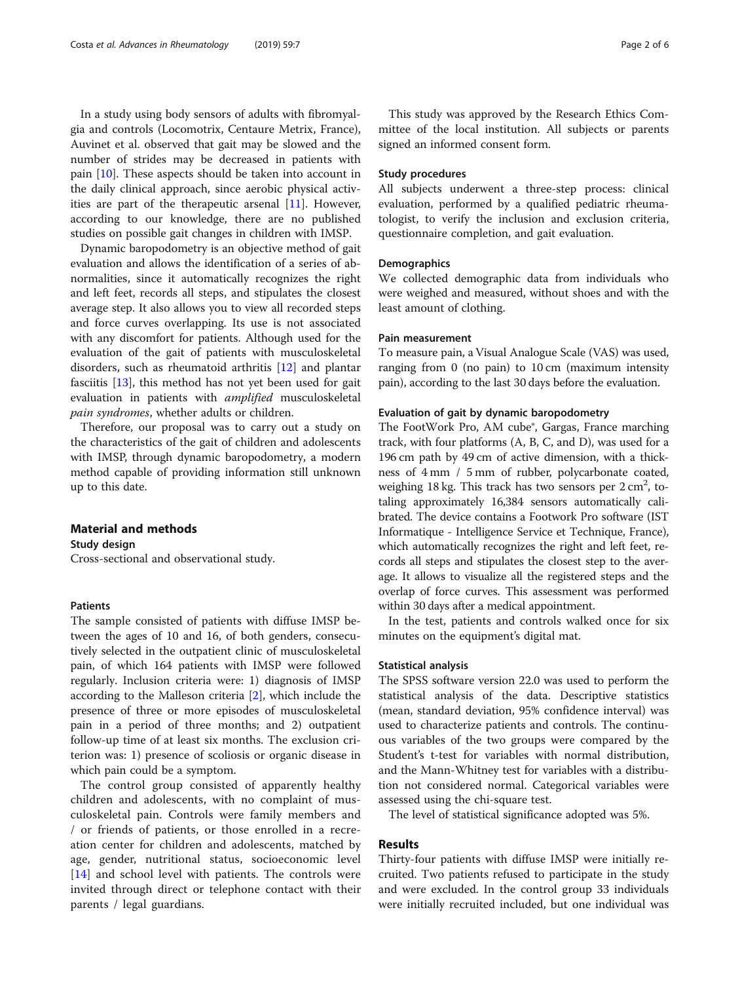In a study using body sensors of adults with fibromyalgia and controls (Locomotrix, Centaure Metrix, France), Auvinet et al. observed that gait may be slowed and the number of strides may be decreased in patients with pain [[10](#page-5-0)]. These aspects should be taken into account in the daily clinical approach, since aerobic physical activities are part of the therapeutic arsenal [[11\]](#page-5-0). However, according to our knowledge, there are no published studies on possible gait changes in children with IMSP.

Dynamic baropodometry is an objective method of gait evaluation and allows the identification of a series of abnormalities, since it automatically recognizes the right and left feet, records all steps, and stipulates the closest average step. It also allows you to view all recorded steps and force curves overlapping. Its use is not associated with any discomfort for patients. Although used for the evaluation of the gait of patients with musculoskeletal disorders, such as rheumatoid arthritis [[12\]](#page-5-0) and plantar fasciitis [[13](#page-5-0)], this method has not yet been used for gait evaluation in patients with amplified musculoskeletal pain syndromes, whether adults or children.

Therefore, our proposal was to carry out a study on the characteristics of the gait of children and adolescents with IMSP, through dynamic baropodometry, a modern method capable of providing information still unknown up to this date.

#### Material and methods

Study design Cross-sectional and observational study.

# **Patients**

The sample consisted of patients with diffuse IMSP between the ages of 10 and 16, of both genders, consecutively selected in the outpatient clinic of musculoskeletal pain, of which 164 patients with IMSP were followed regularly. Inclusion criteria were: 1) diagnosis of IMSP according to the Malleson criteria [\[2](#page-5-0)], which include the presence of three or more episodes of musculoskeletal pain in a period of three months; and 2) outpatient follow-up time of at least six months. The exclusion criterion was: 1) presence of scoliosis or organic disease in which pain could be a symptom.

The control group consisted of apparently healthy children and adolescents, with no complaint of musculoskeletal pain. Controls were family members and / or friends of patients, or those enrolled in a recreation center for children and adolescents, matched by age, gender, nutritional status, socioeconomic level [[14\]](#page-5-0) and school level with patients. The controls were invited through direct or telephone contact with their parents / legal guardians.

This study was approved by the Research Ethics Committee of the local institution. All subjects or parents signed an informed consent form.

# Study procedures

All subjects underwent a three-step process: clinical evaluation, performed by a qualified pediatric rheumatologist, to verify the inclusion and exclusion criteria, questionnaire completion, and gait evaluation.

## **Demographics**

We collected demographic data from individuals who were weighed and measured, without shoes and with the least amount of clothing.

### Pain measurement

To measure pain, a Visual Analogue Scale (VAS) was used, ranging from 0 (no pain) to 10 cm (maximum intensity pain), according to the last 30 days before the evaluation.

#### Evaluation of gait by dynamic baropodometry

The FootWork Pro, AM cube<sup>®</sup>, Gargas, France marching track, with four platforms (A, B, C, and D), was used for a 196 cm path by 49 cm of active dimension, with a thickness of 4 mm / 5 mm of rubber, polycarbonate coated, weighing  $18$  kg. This track has two sensors per  $2 \text{ cm}^2$ , totaling approximately 16,384 sensors automatically calibrated. The device contains a Footwork Pro software (IST Informatique - Intelligence Service et Technique, France), which automatically recognizes the right and left feet, records all steps and stipulates the closest step to the average. It allows to visualize all the registered steps and the overlap of force curves. This assessment was performed within 30 days after a medical appointment.

In the test, patients and controls walked once for six minutes on the equipment's digital mat.

#### Statistical analysis

The SPSS software version 22.0 was used to perform the statistical analysis of the data. Descriptive statistics (mean, standard deviation, 95% confidence interval) was used to characterize patients and controls. The continuous variables of the two groups were compared by the Student's t-test for variables with normal distribution, and the Mann-Whitney test for variables with a distribution not considered normal. Categorical variables were assessed using the chi-square test.

The level of statistical significance adopted was 5%.

# Results

Thirty-four patients with diffuse IMSP were initially recruited. Two patients refused to participate in the study and were excluded. In the control group 33 individuals were initially recruited included, but one individual was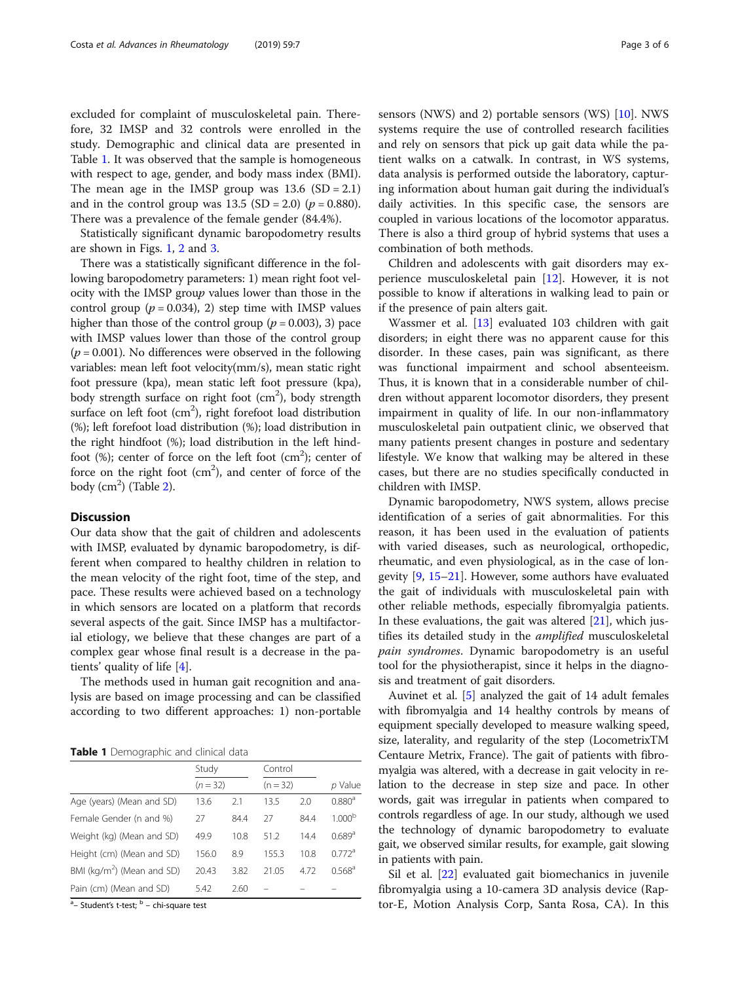excluded for complaint of musculoskeletal pain. Therefore, 32 IMSP and 32 controls were enrolled in the study. Demographic and clinical data are presented in Table 1. It was observed that the sample is homogeneous with respect to age, gender, and body mass index (BMI). The mean age in the IMSP group was  $13.6$  (SD = 2.1) and in the control group was  $13.5$  (SD = 2.0) ( $p = 0.880$ ). There was a prevalence of the female gender (84.4%).

Statistically significant dynamic baropodometry results are shown in Figs. [1,](#page-3-0) [2](#page-3-0) and [3](#page-4-0).

There was a statistically significant difference in the following baropodometry parameters: 1) mean right foot velocity with the IMSP group values lower than those in the control group  $(p = 0.034)$ , 2) step time with IMSP values higher than those of the control group ( $p = 0.003$ ), 3) pace with IMSP values lower than those of the control group  $(p = 0.001)$ . No differences were observed in the following variables: mean left foot velocity(mm/s), mean static right foot pressure (kpa), mean static left foot pressure (kpa), body strength surface on right foot (cm<sup>2</sup>), body strength surface on left foot  $(cm^2)$ , right forefoot load distribution (%); left forefoot load distribution (%); load distribution in the right hindfoot (%); load distribution in the left hindfoot  $(\%)$ ; center of force on the left foot  $(cm^2)$ ; center of force on the right foot  $(cm<sup>2</sup>)$ , and center of force of the body  $(cm<sup>2</sup>)$  (Table [2\)](#page-4-0).

# **Discussion**

Our data show that the gait of children and adolescents with IMSP, evaluated by dynamic baropodometry, is different when compared to healthy children in relation to the mean velocity of the right foot, time of the step, and pace. These results were achieved based on a technology in which sensors are located on a platform that records several aspects of the gait. Since IMSP has a multifactorial etiology, we believe that these changes are part of a complex gear whose final result is a decrease in the patients' quality of life [\[4](#page-5-0)].

The methods used in human gait recognition and analysis are based on image processing and can be classified according to two different approaches: 1) non-portable

Table 1 Demographic and clinical data

|                                        | Study<br>$(n = 32)$ |      | Control    |      |                      |
|----------------------------------------|---------------------|------|------------|------|----------------------|
|                                        |                     |      | $(n = 32)$ |      | p Value              |
| Age (years) (Mean and SD)              | 13.6                | 2.1  | 13.5       | 2.0  | 0.880 <sup>a</sup>   |
| Female Gender (n and %)                | 27                  | 84.4 | 27         | 84.4 | 1.000 <sup>b</sup>   |
| Weight (kg) (Mean and SD)              | 49.9                | 10.8 | 51.2       | 144  | 0.689a               |
| Height (cm) (Mean and SD)              | 156.0               | 8.9  | 155.3      | 10.8 | $0.772$ <sup>a</sup> |
| BMI (kg/m <sup>2</sup> ) (Mean and SD) | 20.43               | 3.82 | 21.05      | 472  | $0.568^{\rm a}$      |
| Pain (cm) (Mean and SD)                | 5.42                | 2.60 |            |      |                      |

<sup>a</sup> – Student's t-test; <sup>b</sup> – chi-square test

sensors (NWS) and 2) portable sensors (WS) [[10\]](#page-5-0). NWS systems require the use of controlled research facilities and rely on sensors that pick up gait data while the patient walks on a catwalk. In contrast, in WS systems, data analysis is performed outside the laboratory, capturing information about human gait during the individual's daily activities. In this specific case, the sensors are coupled in various locations of the locomotor apparatus. There is also a third group of hybrid systems that uses a combination of both methods.

Children and adolescents with gait disorders may experience musculoskeletal pain [[12\]](#page-5-0). However, it is not possible to know if alterations in walking lead to pain or if the presence of pain alters gait.

Wassmer et al. [\[13\]](#page-5-0) evaluated 103 children with gait disorders; in eight there was no apparent cause for this disorder. In these cases, pain was significant, as there was functional impairment and school absenteeism. Thus, it is known that in a considerable number of children without apparent locomotor disorders, they present impairment in quality of life. In our non-inflammatory musculoskeletal pain outpatient clinic, we observed that many patients present changes in posture and sedentary lifestyle. We know that walking may be altered in these cases, but there are no studies specifically conducted in children with IMSP.

Dynamic baropodometry, NWS system, allows precise identification of a series of gait abnormalities. For this reason, it has been used in the evaluation of patients with varied diseases, such as neurological, orthopedic, rheumatic, and even physiological, as in the case of longevity [[9,](#page-5-0) [15](#page-5-0)–[21\]](#page-5-0). However, some authors have evaluated the gait of individuals with musculoskeletal pain with other reliable methods, especially fibromyalgia patients. In these evaluations, the gait was altered  $[21]$  $[21]$ , which justifies its detailed study in the *amplified* musculoskeletal pain syndromes. Dynamic baropodometry is an useful tool for the physiotherapist, since it helps in the diagnosis and treatment of gait disorders.

Auvinet et al. [\[5\]](#page-5-0) analyzed the gait of 14 adult females with fibromyalgia and 14 healthy controls by means of equipment specially developed to measure walking speed, size, laterality, and regularity of the step (LocometrixTM Centaure Metrix, France). The gait of patients with fibromyalgia was altered, with a decrease in gait velocity in relation to the decrease in step size and pace. In other words, gait was irregular in patients when compared to controls regardless of age. In our study, although we used the technology of dynamic baropodometry to evaluate gait, we observed similar results, for example, gait slowing in patients with pain.

Sil et al. [[22](#page-5-0)] evaluated gait biomechanics in juvenile fibromyalgia using a 10-camera 3D analysis device (Raptor-E, Motion Analysis Corp, Santa Rosa, CA). In this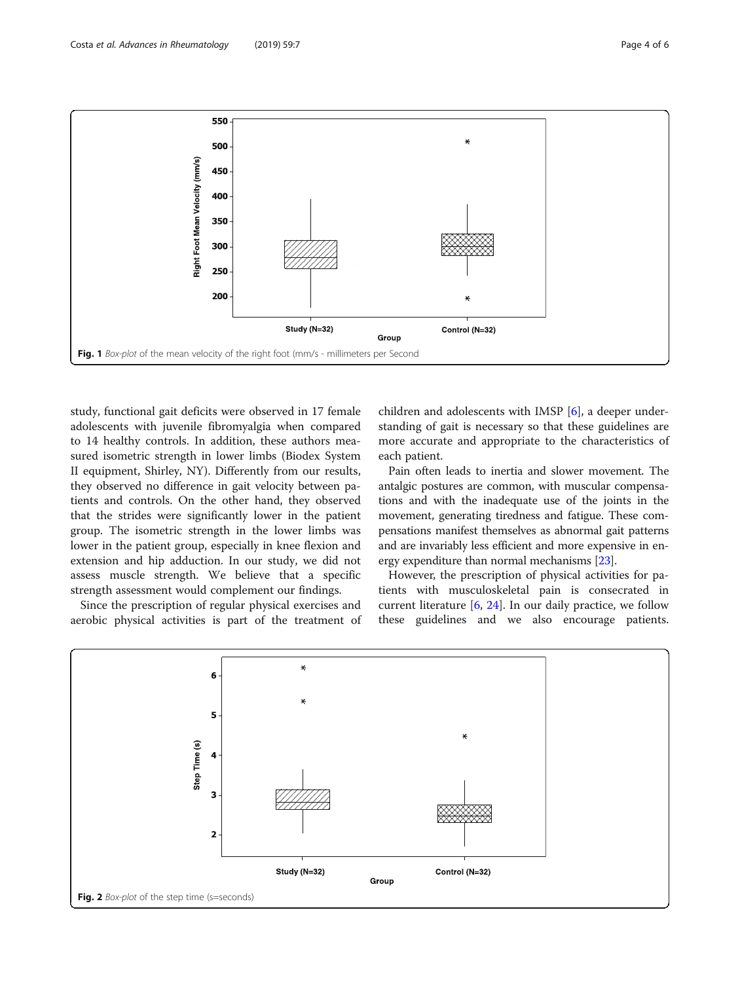<span id="page-3-0"></span>

study, functional gait deficits were observed in 17 female adolescents with juvenile fibromyalgia when compared to 14 healthy controls. In addition, these authors measured isometric strength in lower limbs (Biodex System II equipment, Shirley, NY). Differently from our results, they observed no difference in gait velocity between patients and controls. On the other hand, they observed that the strides were significantly lower in the patient group. The isometric strength in the lower limbs was lower in the patient group, especially in knee flexion and extension and hip adduction. In our study, we did not assess muscle strength. We believe that a specific strength assessment would complement our findings.

Since the prescription of regular physical exercises and aerobic physical activities is part of the treatment of

children and adolescents with IMSP [[6\]](#page-5-0), a deeper understanding of gait is necessary so that these guidelines are more accurate and appropriate to the characteristics of each patient.

Pain often leads to inertia and slower movement. The antalgic postures are common, with muscular compensations and with the inadequate use of the joints in the movement, generating tiredness and fatigue. These compensations manifest themselves as abnormal gait patterns and are invariably less efficient and more expensive in energy expenditure than normal mechanisms [[23](#page-5-0)].

However, the prescription of physical activities for patients with musculoskeletal pain is consecrated in current literature [[6,](#page-5-0) [24\]](#page-5-0). In our daily practice, we follow these guidelines and we also encourage patients.

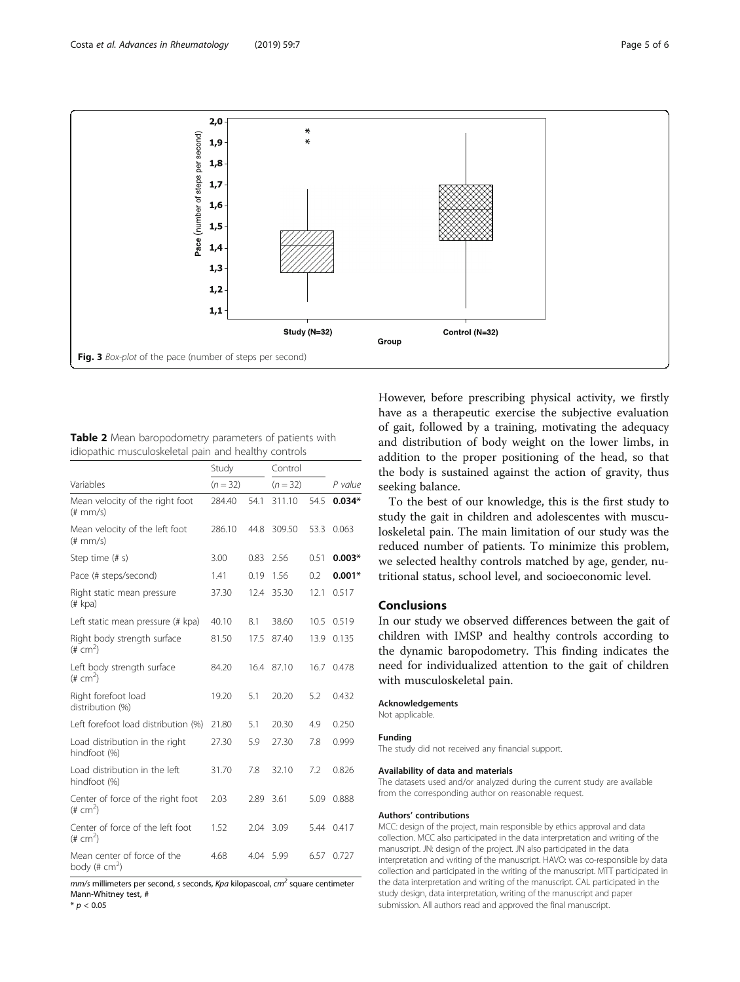<span id="page-4-0"></span>

Table 2 Mean baropodometry parameters of patients with idiopathic musculoskeletal pain and healthy controls

|                                                  | Study<br>$(n = 32)$ |      | Control<br>$(n = 32)$ |      | P value  |
|--------------------------------------------------|---------------------|------|-----------------------|------|----------|
| Variables                                        |                     |      |                       |      |          |
| Mean velocity of the right foot<br>$(\# mm/s)$   | 284.40              | 54.1 | 311.10                | 54.5 | $0.034*$ |
| Mean velocity of the left foot<br>$(\# mm/s)$    | 286.10              | 44.8 | 309.50                | 53.3 | 0.063    |
| Step time (# s)                                  | 3.00                | 0.83 | 2.56                  | 0.51 | $0.003*$ |
| Pace (# steps/second)                            | 1.41                | 0.19 | 1.56                  | 0.2  | $0.001*$ |
| Right static mean pressure<br>(# kpa)            | 37.30               | 12.4 | 35.30                 | 12.1 | 0.517    |
| Left static mean pressure (# kpa)                | 40.10               | 8.1  | 38.60                 | 10.5 | 0.519    |
| Right body strength surface<br>$(\# cm^2)$       | 81.50               | 17.5 | 87.40                 | 13.9 | 0.135    |
| Left body strength surface<br>$(\# cm^2)$        | 84.20               | 16.4 | 87.10                 | 16.7 | 0.478    |
| Right forefoot load<br>distribution (%)          | 19.20               | 5.1  | 20.20                 | 5.2  | 0.432    |
| Left forefoot load distribution (%)              | 21.80               | 5.1  | 20.30                 | 4.9  | 0.250    |
| Load distribution in the right<br>hindfoot (%)   | 27.30               | 5.9  | 27.30                 | 7.8  | 0.999    |
| Load distribution in the left<br>hindfoot (%)    | 31.70               | 7.8  | 32.10                 | 7.2  | 0.826    |
| Center of force of the right foot<br>$(\# cm^2)$ | 2.03                | 2.89 | 3.61                  | 5.09 | 0.888    |
| Center of force of the left foot<br>$(\# cm^2)$  | 1.52                | 2.04 | 3.09                  | 5.44 | 0.417    |
| Mean center of force of the<br>body (# $cm2$ )   | 4.68                | 4.04 | 5.99                  | 6.57 | 0.727    |

 $mm/s$  millimeters per second, s seconds, Kpa kilopascoal,  $cm<sup>2</sup>$  square centimeter Mann-Whitney test, #

 $*$   $p$  < 0.05

However, before prescribing physical activity, we firstly have as a therapeutic exercise the subjective evaluation of gait, followed by a training, motivating the adequacy and distribution of body weight on the lower limbs, in addition to the proper positioning of the head, so that the body is sustained against the action of gravity, thus seeking balance.

To the best of our knowledge, this is the first study to study the gait in children and adolescentes with musculoskeletal pain. The main limitation of our study was the reduced number of patients. To minimize this problem, we selected healthy controls matched by age, gender, nutritional status, school level, and socioeconomic level.

### Conclusions

In our study we observed differences between the gait of children with IMSP and healthy controls according to the dynamic baropodometry. This finding indicates the need for individualized attention to the gait of children with musculoskeletal pain.

#### Acknowledgements

Not applicable.

#### Funding

The study did not received any financial support.

#### Availability of data and materials

The datasets used and/or analyzed during the current study are available from the corresponding author on reasonable request.

#### Authors' contributions

MCC: design of the project, main responsible by ethics approval and data collection. MCC also participated in the data interpretation and writing of the manuscript. JN: design of the project. JN also participated in the data interpretation and writing of the manuscript. HAVO: was co-responsible by data collection and participated in the writing of the manuscript. MTT participated in the data interpretation and writing of the manuscript. CAL participated in the study design, data interpretation, writing of the manuscript and paper submission. All authors read and approved the final manuscript.